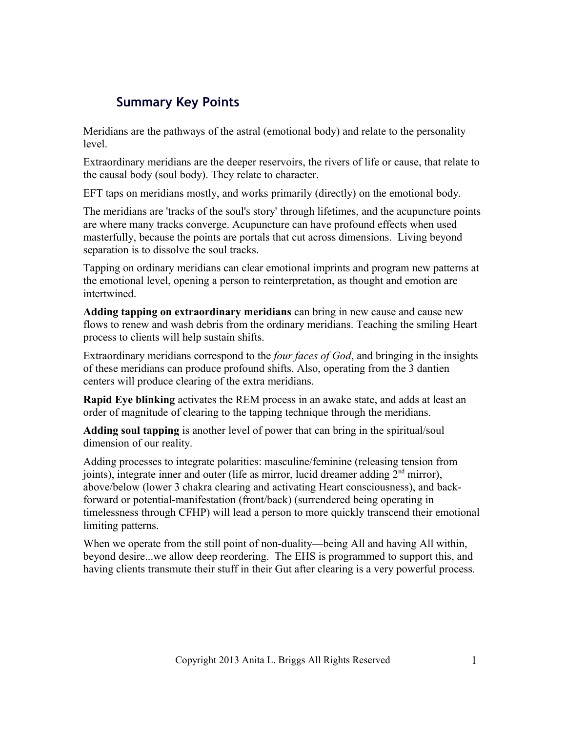# **Summary Key Points**

Meridians are the pathways of the astral (emotional body) and relate to the personality level.

Extraordinary meridians are the deeper reservoirs, the rivers of life or cause, that relate to the causal body (soul body). They relate to character.

EFT taps on meridians mostly, and works primarily (directly) on the emotional body.

The meridians are 'tracks of the soul's story' through lifetimes, and the acupuncture points are where many tracks converge. Acupuncture can have profound effects when used masterfully, because the points are portals that cut across dimensions. Living beyond separation is to dissolve the soul tracks.

Tapping on ordinary meridians can clear emotional imprints and program new patterns at the emotional level, opening a person to reinterpretation, as thought and emotion are intertwined.

**Adding tapping on extraordinary meridians** can bring in new cause and cause new flows to renew and wash debris from the ordinary meridians. Teaching the smiling Heart process to clients will help sustain shifts.

Extraordinary meridians correspond to the *four faces of God*, and bringing in the insights of these meridians can produce profound shifts. Also, operating from the 3 dantien centers will produce clearing of the extra meridians.

**Rapid Eye blinking** activates the REM process in an awake state, and adds at least an order of magnitude of clearing to the tapping technique through the meridians.

**Adding soul tapping** is another level of power that can bring in the spiritual/soul dimension of our reality.

Adding processes to integrate polarities: masculine/feminine (releasing tension from joints), integrate inner and outer (life as mirror, lucid dreamer adding 2<sup>nd</sup> mirror), above/below (lower 3 chakra clearing and activating Heart consciousness), and backforward or potential-manifestation (front/back) (surrendered being operating in timelessness through CFHP) will lead a person to more quickly transcend their emotional limiting patterns.

When we operate from the still point of non-duality—being All and having All within, beyond desire...we allow deep reordering. The EHS is programmed to support this, and having clients transmute their stuff in their Gut after clearing is a very powerful process.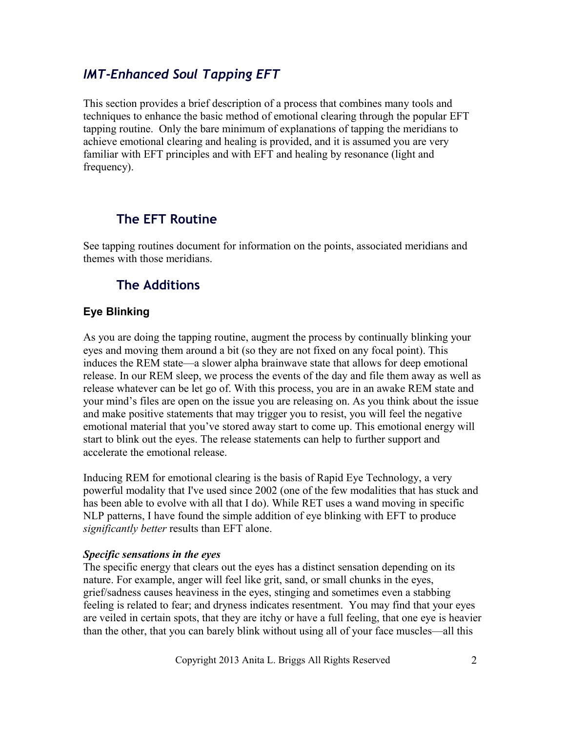## *IMT-Enhanced Soul Tapping EFT*

This section provides a brief description of a process that combines many tools and techniques to enhance the basic method of emotional clearing through the popular EFT tapping routine. Only the bare minimum of explanations of tapping the meridians to achieve emotional clearing and healing is provided, and it is assumed you are very familiar with EFT principles and with EFT and healing by resonance (light and frequency).

## **The EFT Routine**

See tapping routines document for information on the points, associated meridians and themes with those meridians.

## **The Additions**

## **Eye Blinking**

As you are doing the tapping routine, augment the process by continually blinking your eyes and moving them around a bit (so they are not fixed on any focal point). This induces the REM state—a slower alpha brainwave state that allows for deep emotional release. In our REM sleep, we process the events of the day and file them away as well as release whatever can be let go of. With this process, you are in an awake REM state and your mind's files are open on the issue you are releasing on. As you think about the issue and make positive statements that may trigger you to resist, you will feel the negative emotional material that you've stored away start to come up. This emotional energy will start to blink out the eyes. The release statements can help to further support and accelerate the emotional release.

Inducing REM for emotional clearing is the basis of Rapid Eye Technology, a very powerful modality that I've used since 2002 (one of the few modalities that has stuck and has been able to evolve with all that I do). While RET uses a wand moving in specific NLP patterns, I have found the simple addition of eye blinking with EFT to produce *significantly better* results than EFT alone.

#### *Specific sensations in the eyes*

The specific energy that clears out the eyes has a distinct sensation depending on its nature. For example, anger will feel like grit, sand, or small chunks in the eyes, grief/sadness causes heaviness in the eyes, stinging and sometimes even a stabbing feeling is related to fear; and dryness indicates resentment. You may find that your eyes are veiled in certain spots, that they are itchy or have a full feeling, that one eye is heavier than the other, that you can barely blink without using all of your face muscles—all this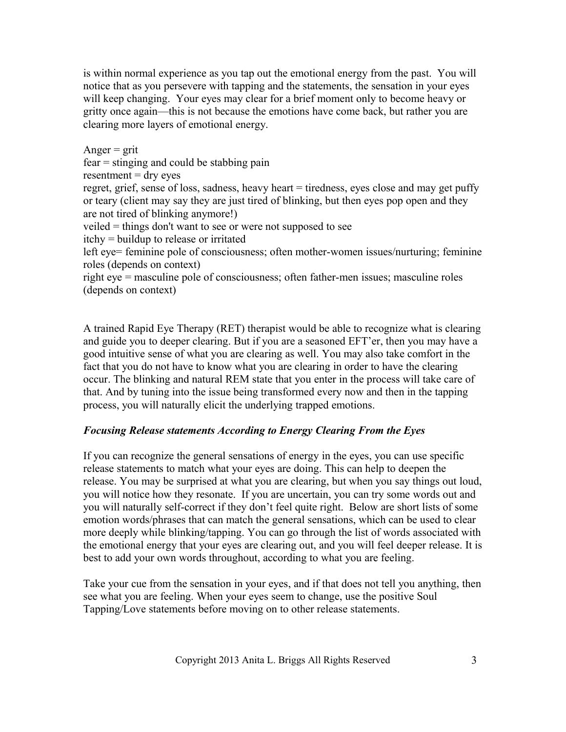is within normal experience as you tap out the emotional energy from the past. You will notice that as you persevere with tapping and the statements, the sensation in your eyes will keep changing. Your eyes may clear for a brief moment only to become heavy or gritty once again—this is not because the emotions have come back, but rather you are clearing more layers of emotional energy.

Anger  $=$  grit fear = stinging and could be stabbing pain  $resentment = dry eyes$ regret, grief, sense of loss, sadness, heavy heart = tiredness, eyes close and may get puffy or teary (client may say they are just tired of blinking, but then eyes pop open and they are not tired of blinking anymore!) veiled = things don't want to see or were not supposed to see itchy = buildup to release or irritated left eye= feminine pole of consciousness; often mother-women issues/nurturing; feminine roles (depends on context) right eye = masculine pole of consciousness; often father-men issues; masculine roles (depends on context)

A trained Rapid Eye Therapy (RET) therapist would be able to recognize what is clearing and guide you to deeper clearing. But if you are a seasoned EFT'er, then you may have a good intuitive sense of what you are clearing as well. You may also take comfort in the fact that you do not have to know what you are clearing in order to have the clearing occur. The blinking and natural REM state that you enter in the process will take care of that. And by tuning into the issue being transformed every now and then in the tapping process, you will naturally elicit the underlying trapped emotions.

## *Focusing Release statements According to Energy Clearing From the Eyes*

If you can recognize the general sensations of energy in the eyes, you can use specific release statements to match what your eyes are doing. This can help to deepen the release. You may be surprised at what you are clearing, but when you say things out loud, you will notice how they resonate. If you are uncertain, you can try some words out and you will naturally self-correct if they don't feel quite right. Below are short lists of some emotion words/phrases that can match the general sensations, which can be used to clear more deeply while blinking/tapping. You can go through the list of words associated with the emotional energy that your eyes are clearing out, and you will feel deeper release. It is best to add your own words throughout, according to what you are feeling.

Take your cue from the sensation in your eyes, and if that does not tell you anything, then see what you are feeling. When your eyes seem to change, use the positive Soul Tapping/Love statements before moving on to other release statements.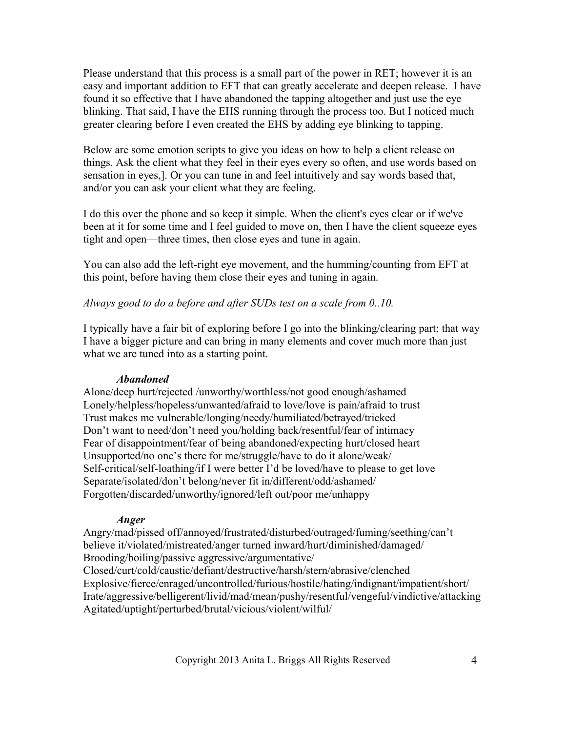Please understand that this process is a small part of the power in RET; however it is an easy and important addition to EFT that can greatly accelerate and deepen release. I have found it so effective that I have abandoned the tapping altogether and just use the eye blinking. That said, I have the EHS running through the process too. But I noticed much greater clearing before I even created the EHS by adding eye blinking to tapping.

Below are some emotion scripts to give you ideas on how to help a client release on things. Ask the client what they feel in their eyes every so often, and use words based on sensation in eyes,]. Or you can tune in and feel intuitively and say words based that, and/or you can ask your client what they are feeling.

I do this over the phone and so keep it simple. When the client's eyes clear or if we've been at it for some time and I feel guided to move on, then I have the client squeeze eyes tight and open—three times, then close eyes and tune in again.

You can also add the left-right eye movement, and the humming/counting from EFT at this point, before having them close their eyes and tuning in again.

### *Always good to do a before and after SUDs test on a scale from 0..10.*

I typically have a fair bit of exploring before I go into the blinking/clearing part; that way I have a bigger picture and can bring in many elements and cover much more than just what we are tuned into as a starting point.

#### *Abandoned*

Alone/deep hurt/rejected /unworthy/worthless/not good enough/ashamed Lonely/helpless/hopeless/unwanted/afraid to love/love is pain/afraid to trust Trust makes me vulnerable/longing/needy/humiliated/betrayed/tricked Don't want to need/don't need you/holding back/resentful/fear of intimacy Fear of disappointment/fear of being abandoned/expecting hurt/closed heart Unsupported/no one's there for me/struggle/have to do it alone/weak/ Self-critical/self-loathing/if I were better I'd be loved/have to please to get love Separate/isolated/don't belong/never fit in/different/odd/ashamed/ Forgotten/discarded/unworthy/ignored/left out/poor me/unhappy

#### *Anger*

Angry/mad/pissed off/annoyed/frustrated/disturbed/outraged/fuming/seething/can't believe it/violated/mistreated/anger turned inward/hurt/diminished/damaged/ Brooding/boiling/passive aggressive/argumentative/ Closed/curt/cold/caustic/defiant/destructive/harsh/stern/abrasive/clenched Explosive/fierce/enraged/uncontrolled/furious/hostile/hating/indignant/impatient/short/ Irate/aggressive/belligerent/livid/mad/mean/pushy/resentful/vengeful/vindictive/attacking Agitated/uptight/perturbed/brutal/vicious/violent/wilful/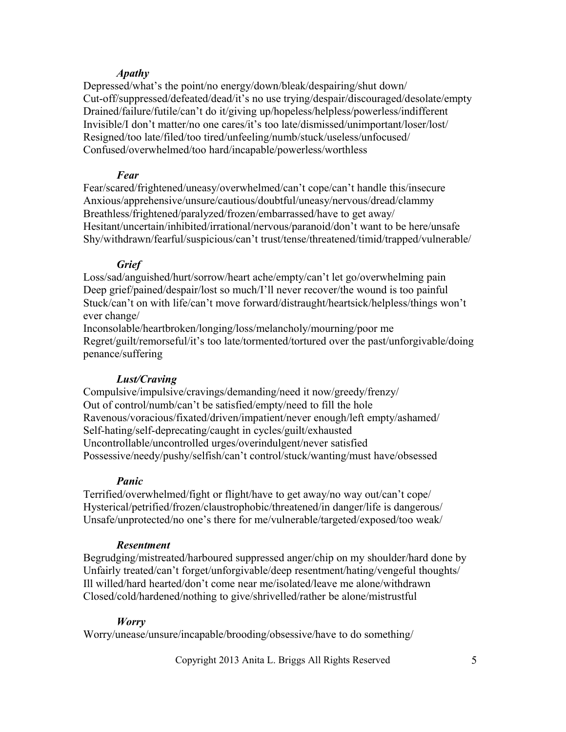#### *Apathy*

Depressed/what's the point/no energy/down/bleak/despairing/shut down/ Cut-off/suppressed/defeated/dead/it's no use trying/despair/discouraged/desolate/empty Drained/failure/futile/can't do it/giving up/hopeless/helpless/powerless/indifferent Invisible/I don't matter/no one cares/it's too late/dismissed/unimportant/loser/lost/ Resigned/too late/filed/too tired/unfeeling/numb/stuck/useless/unfocused/ Confused/overwhelmed/too hard/incapable/powerless/worthless

#### *Fear*

Fear/scared/frightened/uneasy/overwhelmed/can't cope/can't handle this/insecure Anxious/apprehensive/unsure/cautious/doubtful/uneasy/nervous/dread/clammy Breathless/frightened/paralyzed/frozen/embarrassed/have to get away/ Hesitant/uncertain/inhibited/irrational/nervous/paranoid/don't want to be here/unsafe Shy/withdrawn/fearful/suspicious/can't trust/tense/threatened/timid/trapped/vulnerable/

#### *Grief*

Loss/sad/anguished/hurt/sorrow/heart ache/empty/can't let go/overwhelming pain Deep grief/pained/despair/lost so much/I'll never recover/the wound is too painful Stuck/can't on with life/can't move forward/distraught/heartsick/helpless/things won't ever change/

Inconsolable/heartbroken/longing/loss/melancholy/mourning/poor me Regret/guilt/remorseful/it's too late/tormented/tortured over the past/unforgivable/doing penance/suffering

#### *Lust/Craving*

Compulsive/impulsive/cravings/demanding/need it now/greedy/frenzy/ Out of control/numb/can't be satisfied/empty/need to fill the hole Ravenous/voracious/fixated/driven/impatient/never enough/left empty/ashamed/ Self-hating/self-deprecating/caught in cycles/guilt/exhausted Uncontrollable/uncontrolled urges/overindulgent/never satisfied Possessive/needy/pushy/selfish/can't control/stuck/wanting/must have/obsessed

#### *Panic*

Terrified/overwhelmed/fight or flight/have to get away/no way out/can't cope/ Hysterical/petrified/frozen/claustrophobic/threatened/in danger/life is dangerous/ Unsafe/unprotected/no one's there for me/vulnerable/targeted/exposed/too weak/

#### *Resentment*

Begrudging/mistreated/harboured suppressed anger/chip on my shoulder/hard done by Unfairly treated/can't forget/unforgivable/deep resentment/hating/vengeful thoughts/ Ill willed/hard hearted/don't come near me/isolated/leave me alone/withdrawn Closed/cold/hardened/nothing to give/shrivelled/rather be alone/mistrustful

## *Worry*

Worry/unease/unsure/incapable/brooding/obsessive/have to do something/

Copyright 2013 Anita L. Briggs All Rights Reserved 5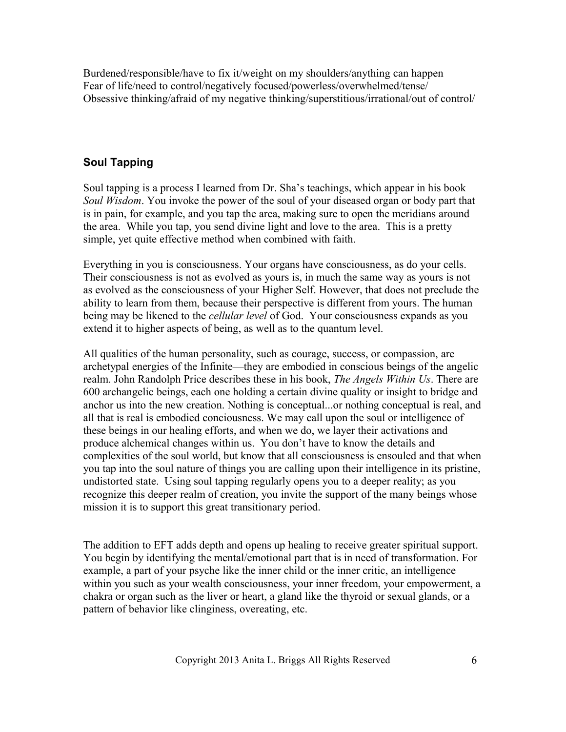Burdened/responsible/have to fix it/weight on my shoulders/anything can happen Fear of life/need to control/negatively focused/powerless/overwhelmed/tense/ Obsessive thinking/afraid of my negative thinking/superstitious/irrational/out of control/

## **Soul Tapping**

Soul tapping is a process I learned from Dr. Sha's teachings, which appear in his book *Soul Wisdom*. You invoke the power of the soul of your diseased organ or body part that is in pain, for example, and you tap the area, making sure to open the meridians around the area. While you tap, you send divine light and love to the area. This is a pretty simple, yet quite effective method when combined with faith.

Everything in you is consciousness. Your organs have consciousness, as do your cells. Their consciousness is not as evolved as yours is, in much the same way as yours is not as evolved as the consciousness of your Higher Self. However, that does not preclude the ability to learn from them, because their perspective is different from yours. The human being may be likened to the *cellular level* of God. Your consciousness expands as you extend it to higher aspects of being, as well as to the quantum level.

All qualities of the human personality, such as courage, success, or compassion, are archetypal energies of the Infinite—they are embodied in conscious beings of the angelic realm. John Randolph Price describes these in his book, *The Angels Within Us*. There are 600 archangelic beings, each one holding a certain divine quality or insight to bridge and anchor us into the new creation. Nothing is conceptual...or nothing conceptual is real, and all that is real is embodied conciousness. We may call upon the soul or intelligence of these beings in our healing efforts, and when we do, we layer their activations and produce alchemical changes within us. You don't have to know the details and complexities of the soul world, but know that all consciousness is ensouled and that when you tap into the soul nature of things you are calling upon their intelligence in its pristine, undistorted state. Using soul tapping regularly opens you to a deeper reality; as you recognize this deeper realm of creation, you invite the support of the many beings whose mission it is to support this great transitionary period.

The addition to EFT adds depth and opens up healing to receive greater spiritual support. You begin by identifying the mental/emotional part that is in need of transformation. For example, a part of your psyche like the inner child or the inner critic, an intelligence within you such as your wealth consciousness, your inner freedom, your empowerment, a chakra or organ such as the liver or heart, a gland like the thyroid or sexual glands, or a pattern of behavior like clinginess, overeating, etc.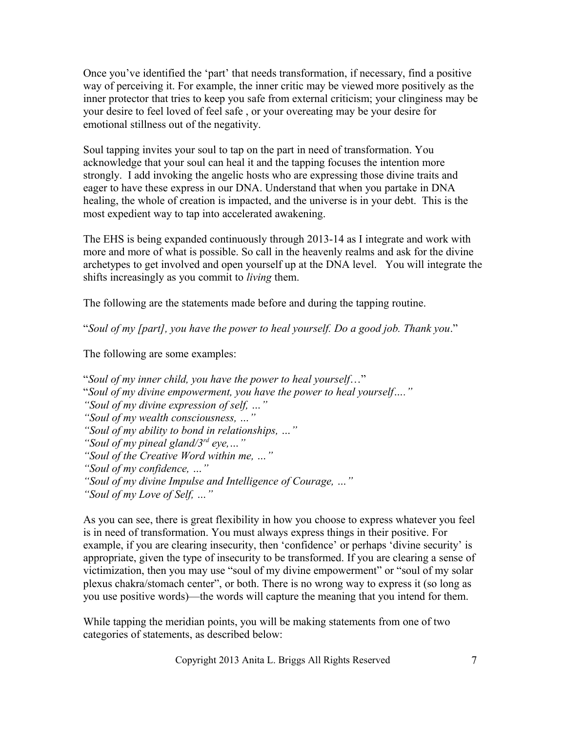Once you've identified the 'part' that needs transformation, if necessary, find a positive way of perceiving it. For example, the inner critic may be viewed more positively as the inner protector that tries to keep you safe from external criticism; your clinginess may be your desire to feel loved of feel safe , or your overeating may be your desire for emotional stillness out of the negativity.

Soul tapping invites your soul to tap on the part in need of transformation. You acknowledge that your soul can heal it and the tapping focuses the intention more strongly. I add invoking the angelic hosts who are expressing those divine traits and eager to have these express in our DNA. Understand that when you partake in DNA healing, the whole of creation is impacted, and the universe is in your debt. This is the most expedient way to tap into accelerated awakening.

The EHS is being expanded continuously through 2013-14 as I integrate and work with more and more of what is possible. So call in the heavenly realms and ask for the divine archetypes to get involved and open yourself up at the DNA level. You will integrate the shifts increasingly as you commit to *living* them.

The following are the statements made before and during the tapping routine.

"*Soul of my [part], you have the power to heal yourself. Do a good job. Thank you*."

The following are some examples:

"*Soul of my inner child, you have the power to heal yourself*…" "*Soul of my divine empowerment, you have the power to heal yourself…." "Soul of my divine expression of self, …" "Soul of my wealth consciousness, …" "Soul of my ability to bond in relationships, …" "Soul of my pineal gland/3rd eye,…" "Soul of the Creative Word within me, …" "Soul of my confidence, …" "Soul of my divine Impulse and Intelligence of Courage, …" "Soul of my Love of Self, …"*

As you can see, there is great flexibility in how you choose to express whatever you feel is in need of transformation. You must always express things in their positive. For example, if you are clearing insecurity, then 'confidence' or perhaps 'divine security' is appropriate, given the type of insecurity to be transformed. If you are clearing a sense of victimization, then you may use "soul of my divine empowerment" or "soul of my solar plexus chakra/stomach center", or both. There is no wrong way to express it (so long as you use positive words)—the words will capture the meaning that you intend for them.

While tapping the meridian points, you will be making statements from one of two categories of statements, as described below:

Copyright 2013 Anita L. Briggs All Rights Reserved 7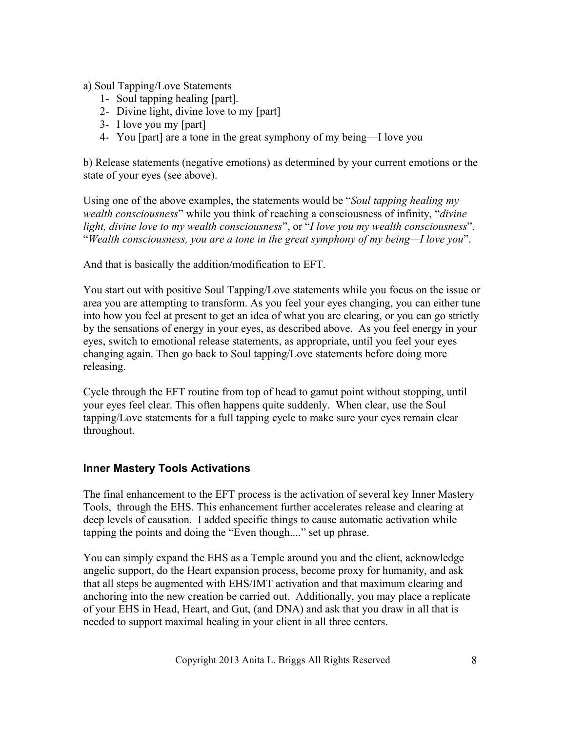a) Soul Tapping/Love Statements

- 1- Soul tapping healing [part].
- 2- Divine light, divine love to my [part]
- 3- I love you my [part]
- 4- You [part] are a tone in the great symphony of my being—I love you

b) Release statements (negative emotions) as determined by your current emotions or the state of your eyes (see above).

Using one of the above examples, the statements would be "*Soul tapping healing my wealth consciousness*" while you think of reaching a consciousness of infinity, "*divine light, divine love to my wealth consciousness*", or "*I love you my wealth consciousness*". "*Wealth consciousness, you are a tone in the great symphony of my being—I love you*".

And that is basically the addition/modification to EFT.

You start out with positive Soul Tapping/Love statements while you focus on the issue or area you are attempting to transform. As you feel your eyes changing, you can either tune into how you feel at present to get an idea of what you are clearing, or you can go strictly by the sensations of energy in your eyes, as described above. As you feel energy in your eyes, switch to emotional release statements, as appropriate, until you feel your eyes changing again. Then go back to Soul tapping/Love statements before doing more releasing.

Cycle through the EFT routine from top of head to gamut point without stopping, until your eyes feel clear. This often happens quite suddenly. When clear, use the Soul tapping/Love statements for a full tapping cycle to make sure your eyes remain clear throughout.

## **Inner Mastery Tools Activations**

The final enhancement to the EFT process is the activation of several key Inner Mastery Tools, through the EHS. This enhancement further accelerates release and clearing at deep levels of causation. I added specific things to cause automatic activation while tapping the points and doing the "Even though...." set up phrase.

You can simply expand the EHS as a Temple around you and the client, acknowledge angelic support, do the Heart expansion process, become proxy for humanity, and ask that all steps be augmented with EHS/IMT activation and that maximum clearing and anchoring into the new creation be carried out. Additionally, you may place a replicate of your EHS in Head, Heart, and Gut, (and DNA) and ask that you draw in all that is needed to support maximal healing in your client in all three centers.